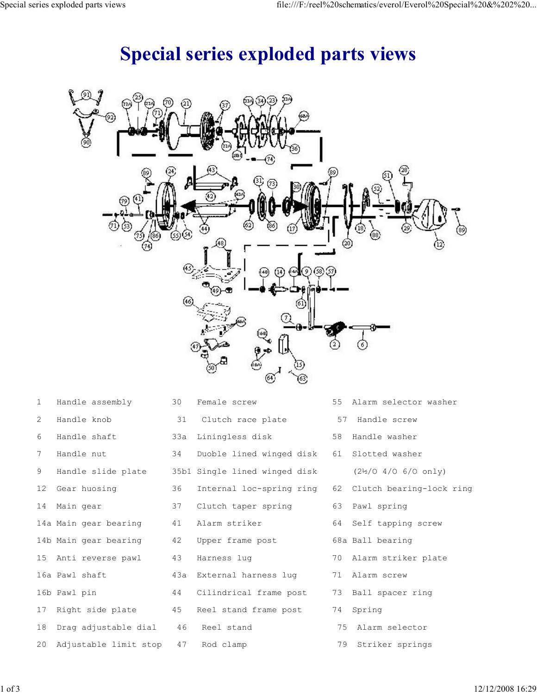## Special series exploded parts views

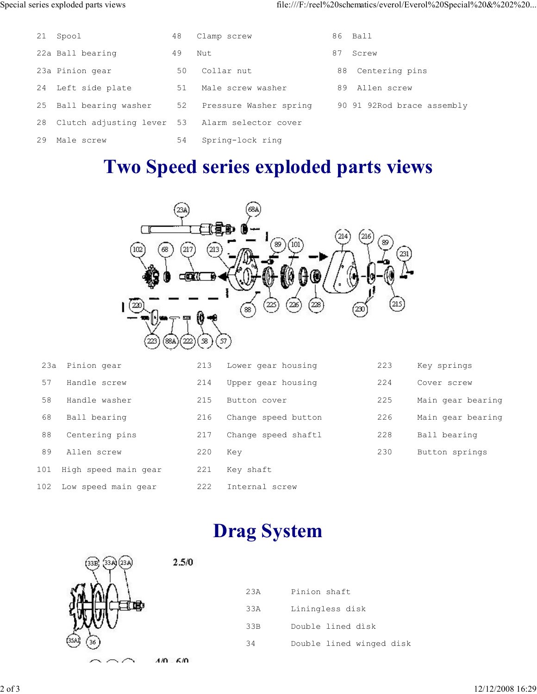|    | 21 Spool                                       | 48 | Clamp screw            |    | 86 Ball                    |
|----|------------------------------------------------|----|------------------------|----|----------------------------|
|    | 22a Ball bearing                               | 49 | Nut.                   | 87 | Screw                      |
|    | 23a Pinion gear                                | 50 | Collar nut             |    | 88 Centering pins          |
| 24 | Left side plate                                | 51 | Male screw washer      |    | 89 Allen screw             |
| 25 | Ball bearing washer                            | 52 | Pressure Washer spring |    | 90 91 92Rod brace assembly |
| 28 | Clutch adjusting lever 53 Alarm selector cover |    |                        |    |                            |
| 29 | Male screw                                     | 54 | Spring-lock ring       |    |                            |

## Two Speed series exploded parts views



| 23а | Pinion gear          | 213 | Lower gear housing  | 223 | Key springs       |
|-----|----------------------|-----|---------------------|-----|-------------------|
| 57  | Handle screw         | 214 | Upper gear housing  | 224 | Cover screw       |
| 58  | Handle washer        | 215 | Button cover        | 225 | Main gear bearing |
| 68  | Ball bearing         | 216 | Change speed button | 226 | Main gear bearing |
| 88  | Centering pins       | 217 | Change speed shaftl | 228 | Ball bearing      |
| 89  | Allen screw          | 220 | Kev                 | 230 | Button springs    |
| 101 | High speed main gear | 221 | Key shaft           |     |                   |
| 102 | Low speed main gear  | 222 | Internal screw      |     |                   |

## Drag System



| 23A | Pinion shaft             |
|-----|--------------------------|
| 33A | Liningless disk          |
| 33B | Double lined disk        |
| 34  | Double lined winged disk |